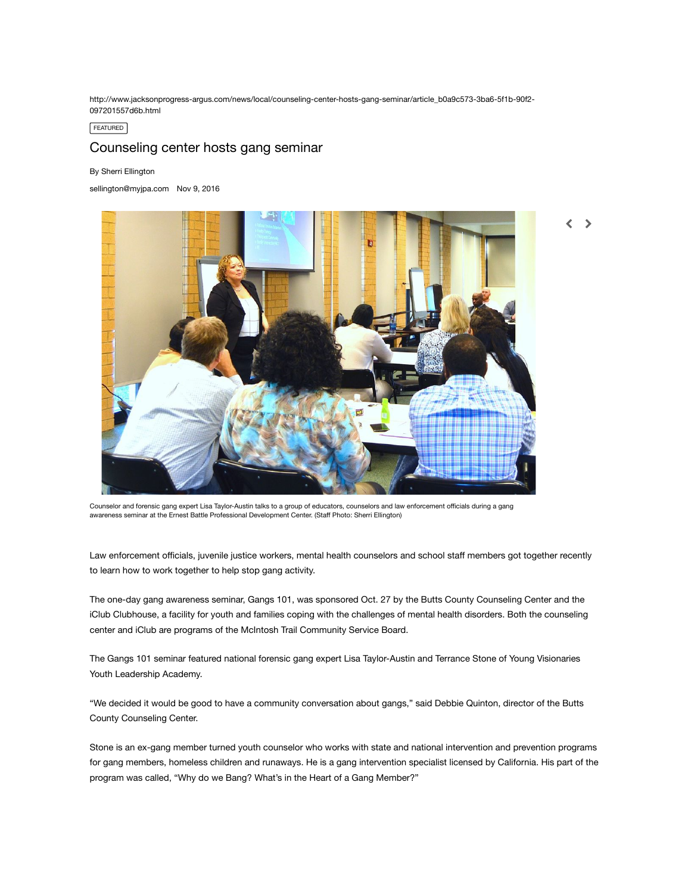http://www.jacksonprogress-argus.com/news/local/counseling-center-hosts-gang-seminar/article\_b0a9c573-3ba6-5f1b-90f2- 097201557d6b.html

FEATURED

## Counseling center hosts gang seminar

## By Sherri Ellington

[sellington@myjpa.com](https://www.jacksonprogress-argus.com/users/profile/Sherri%20Ellington) Nov 9, 2016



Counselor and forensic gang expert Lisa Taylor-Austin talks to a group of educators, counselors and law enforcement officials during a gang awareness seminar at the Ernest Battle Professional Development Center. (Staff Photo: Sherri Ellington)

Law enforcement officials, juvenile justice workers, mental health counselors and school staff members got together recently to learn how to work together to help stop gang activity.

The one-day gang awareness seminar, Gangs 101, was sponsored Oct. 27 by the Butts County Counseling Center and the iClub Clubhouse, a facility for youth and families coping with the challenges of mental health disorders. Both the counseling center and iClub are programs of the McIntosh Trail Community Service Board.

The Gangs 101 seminar featured national forensic gang expert Lisa Taylor-Austin and Terrance Stone of Young Visionaries Youth Leadership Academy.

"We decided it would be good to have a community conversation about gangs," said Debbie Quinton, director of the Butts County Counseling Center.

Stone is an ex-gang member turned youth counselor who works with state and national intervention and prevention programs for gang members, homeless children and runaways. He is a gang intervention specialist licensed by California. His part of the program was called, "Why do we Bang? What's in the Heart of a Gang Member?"

 $\rightarrow$